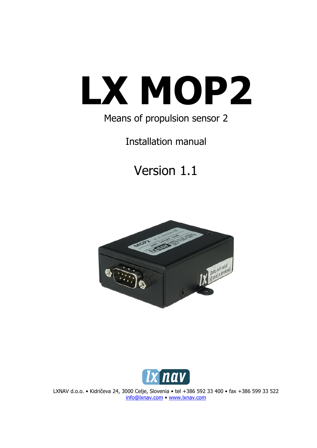# **LX MOP2**

# Means of propulsion sensor 2

Installation manual

# Version 1.1





LXNAV d.o.o. • Kidričeva 24, 3000 Celje, Slovenia • tel +386 592 33 400 • fax +386 599 33 522 [info@lxnav.com](mailto:support@lxnavigation.si) • www.lxnav.com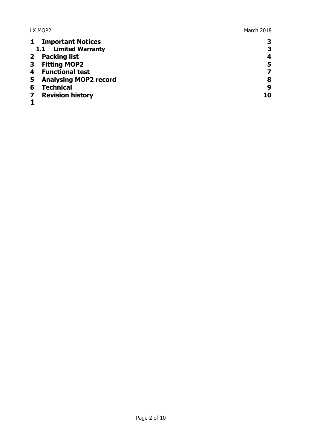| 3  |
|----|
| 3  |
| 4  |
| 5  |
|    |
| 8  |
| 9  |
| 10 |
|    |
|    |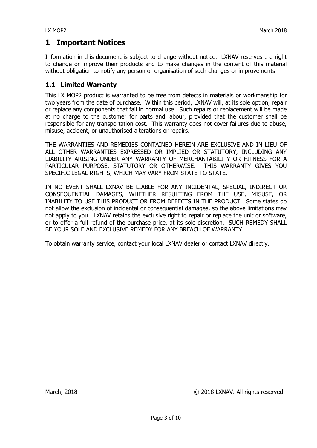#### <span id="page-2-0"></span>**1 Important Notices**

Information in this document is subject to change without notice. LXNAV reserves the right to change or improve their products and to make changes in the content of this material without obligation to notify any person or organisation of such changes or improvements

#### <span id="page-2-1"></span>**1.1 Limited Warranty**

This LX MOP2 product is warranted to be free from defects in materials or workmanship for two years from the date of purchase. Within this period, LXNAV will, at its sole option, repair or replace any components that fail in normal use. Such repairs or replacement will be made at no charge to the customer for parts and labour, provided that the customer shall be responsible for any transportation cost. This warranty does not cover failures due to abuse, misuse, accident, or unauthorised alterations or repairs.

THE WARRANTIES AND REMEDIES CONTAINED HEREIN ARE EXCLUSIVE AND IN LIEU OF ALL OTHER WARRANTIES EXPRESSED OR IMPLIED OR STATUTORY, INCLUDING ANY LIABILITY ARISING UNDER ANY WARRANTY OF MERCHANTABILITY OR FITNESS FOR A PARTICULAR PURPOSE, STATUTORY OR OTHERWISE. THIS WARRANTY GIVES YOU SPECIFIC LEGAL RIGHTS, WHICH MAY VARY FROM STATE TO STATE.

IN NO EVENT SHALL LXNAV BE LIABLE FOR ANY INCIDENTAL, SPECIAL, INDIRECT OR CONSEQUENTIAL DAMAGES, WHETHER RESULTING FROM THE USE, MISUSE, OR INABILITY TO USE THIS PRODUCT OR FROM DEFECTS IN THE PRODUCT. Some states do not allow the exclusion of incidental or consequential damages, so the above limitations may not apply to you. LXNAV retains the exclusive right to repair or replace the unit or software, or to offer a full refund of the purchase price, at its sole discretion. SUCH REMEDY SHALL BE YOUR SOLE AND EXCLUSIVE REMEDY FOR ANY BREACH OF WARRANTY.

To obtain warranty service, contact your local LXNAV dealer or contact LXNAV directly.

March, 2018 COMPUTER 2018 LXNAV. All rights reserved.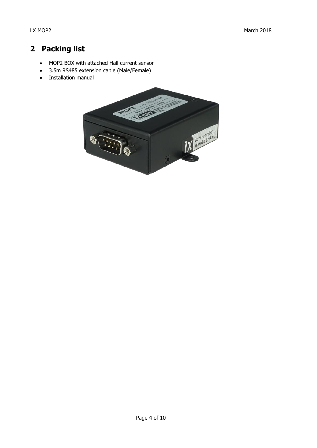# <span id="page-3-0"></span>**2 Packing list**

- MOP2 BOX with attached Hall current sensor
- 3.5m RS485 extension cable (Male/Female)
- Installation manual

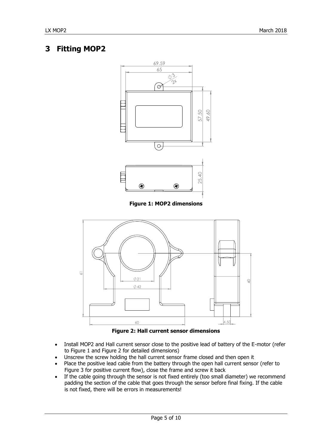### <span id="page-4-0"></span>**3 Fitting MOP2**



**Figure 1: MOP2 dimensions**



**Figure 2: Hall current sensor dimensions**

- Install MOP2 and Hall current sensor close to the positive lead of battery of the E-motor (refer to Figure 1 and Figure 2 for detailed dimensions)
- Unscrew the screw holding the hall current sensor frame closed and then open it
- Place the positive lead cable from the battery through the open hall current sensor (refer to Figure 3 for positive current flow), close the frame and screw it back
- If the cable going through the sensor is not fixed entirely (too small diameter) we recommend padding the section of the cable that goes through the sensor before final fixing. If the cable is not fixed, there will be errors in measurements!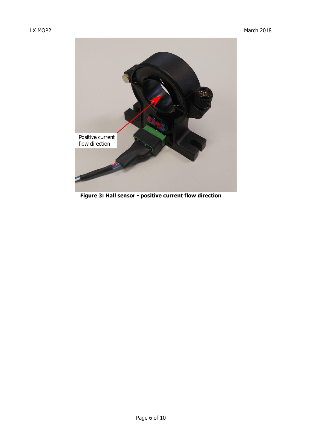

**Figure 3: Hall sensor - positive current flow direction**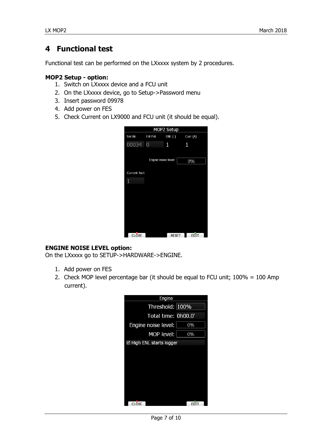#### <span id="page-6-0"></span>**4 Functional test**

Functional test can be performed on the LXxxxx system by 2 procedures.

#### **MOP2 Setup - option:**

- 1. Switch on LXxxxx device and a FCU unit
- 2. On the LXxxxx device, go to Setup->Password menu
- 3. Insert password 09978
- 4. Add power on FES
- 5. Check Current on LX9000 and FCU unit (it should be equal).

| MOP2 Setup   |                     |              |          |  |  |  |
|--------------|---------------------|--------------|----------|--|--|--|
| Ser.Nr.      | Enl Pot.            | $ENL$ $(-)$  | Curr.(A) |  |  |  |
| 00034 0      |                     | 1            | 1        |  |  |  |
|              |                     |              |          |  |  |  |
|              | Engine noise level: |              | 0%       |  |  |  |
|              |                     |              |          |  |  |  |
| Current fact |                     |              |          |  |  |  |
| 1            |                     |              |          |  |  |  |
|              |                     |              |          |  |  |  |
|              |                     |              |          |  |  |  |
|              |                     |              |          |  |  |  |
|              |                     |              |          |  |  |  |
|              |                     |              |          |  |  |  |
|              |                     |              |          |  |  |  |
|              |                     |              |          |  |  |  |
| CLOSE        |                     | <b>RESET</b> | EDIT     |  |  |  |

#### **ENGINE NOISE LEVEL option:**

On the LXxxxx go to SETUP->HARDWARE->ENGINE.

- 1. Add power on FES
- 2. Check MOP level percentage bar (it should be equal to FCU unit; 100% = 100 Amp current).



Page 7 of 10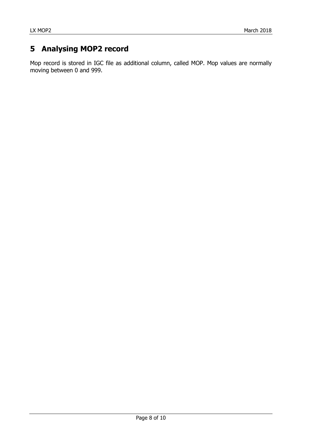# <span id="page-7-0"></span>**5 Analysing MOP2 record**

Mop record is stored in IGC file as additional column, called MOP. Mop values are normally moving between 0 and 999.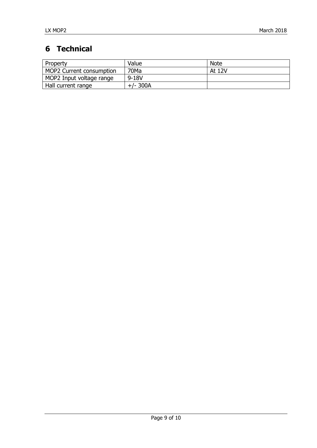# <span id="page-8-0"></span>**6 Technical**

| Property                 | Value      | <b>Note</b> |
|--------------------------|------------|-------------|
| MOP2 Current consumption | 70Ma       | At 12V      |
| MOP2 Input voltage range | $9 - 18V$  |             |
| Hall current range       | $+/- 300A$ |             |